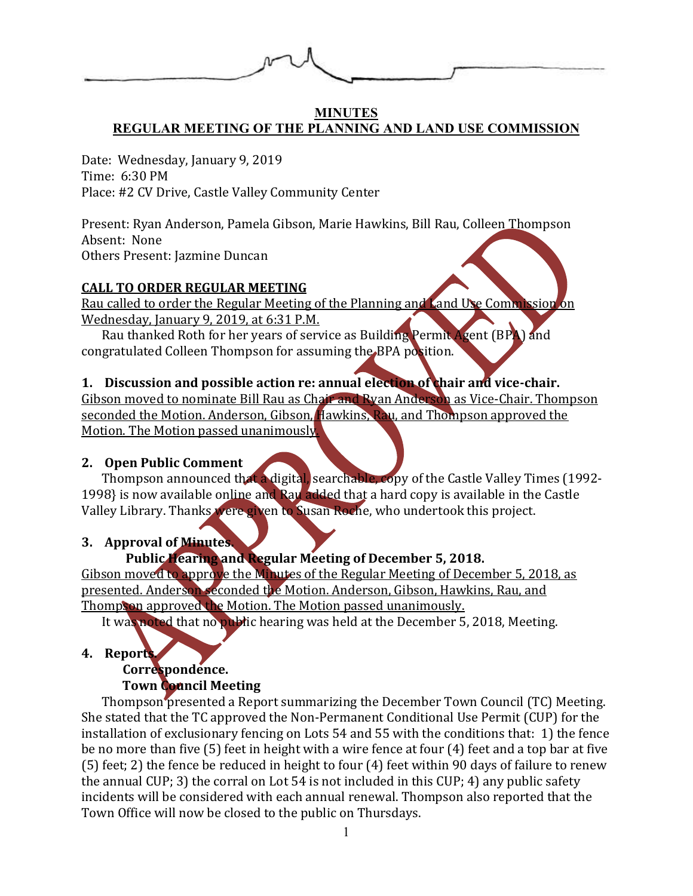

#### **MINUTES REGULAR MEETING OF THE PLANNING AND LAND USE COMMISSION**

Date: Wednesday, January 9, 2019 Time: 6:30 PM Place: #2 CV Drive, Castle Valley Community Center

Present: Ryan Anderson, Pamela Gibson, Marie Hawkins, Bill Rau, Colleen Thompson Absent: None Others Present: Jazmine Duncan

### **CALL TO ORDER REGULAR MEETING**

Rau called to order the Regular Meeting of the Planning and Land Use Commission on Wednesday, January 9, 2019, at 6:31 P.M.

Rau thanked Roth for her years of service as Building Permit Agent (BPA) and congratulated Colleen Thompson for assuming the BPA position.

# **1. Discussion and possible action re: annual election of chair and vice-chair.**

Gibson moved to nominate Bill Rau as Chair and Ryan Anderson as Vice-Chair. Thompson seconded the Motion. Anderson, Gibson, Hawkins, Rau, and Thompson approved the Motion. The Motion passed unanimously.

### **2. Open Public Comment**

Thompson announced that a digital, searchable, copy of the Castle Valley Times (1992- 1998} is now available online and Rau added that a hard copy is available in the Castle Valley Library. Thanks were given to Susan Roche, who undertook this project.

### **3. Approval of Minutes.**

# **Public Hearing and Regular Meeting of December 5, 2018.**

Gibson moved to approve the Minutes of the Regular Meeting of December 5, 2018, as presented. Anderson seconded the Motion. Anderson, Gibson, Hawkins, Rau, and Thompson approved the Motion. The Motion passed unanimously.

It was noted that no public hearing was held at the December 5, 2018, Meeting.

### **4. Reports.**

### **Correspondence. Town Council Meeting**

Thompson presented a Report summarizing the December Town Council (TC) Meeting. She stated that the TC approved the Non-Permanent Conditional Use Permit (CUP) for the installation of exclusionary fencing on Lots 54 and 55 with the conditions that: 1) the fence be no more than five (5) feet in height with a wire fence at four (4) feet and a top bar at five (5) feet; 2) the fence be reduced in height to four (4) feet within 90 days of failure to renew the annual CUP; 3) the corral on Lot 54 is not included in this CUP; 4) any public safety incidents will be considered with each annual renewal. Thompson also reported that the Town Office will now be closed to the public on Thursdays.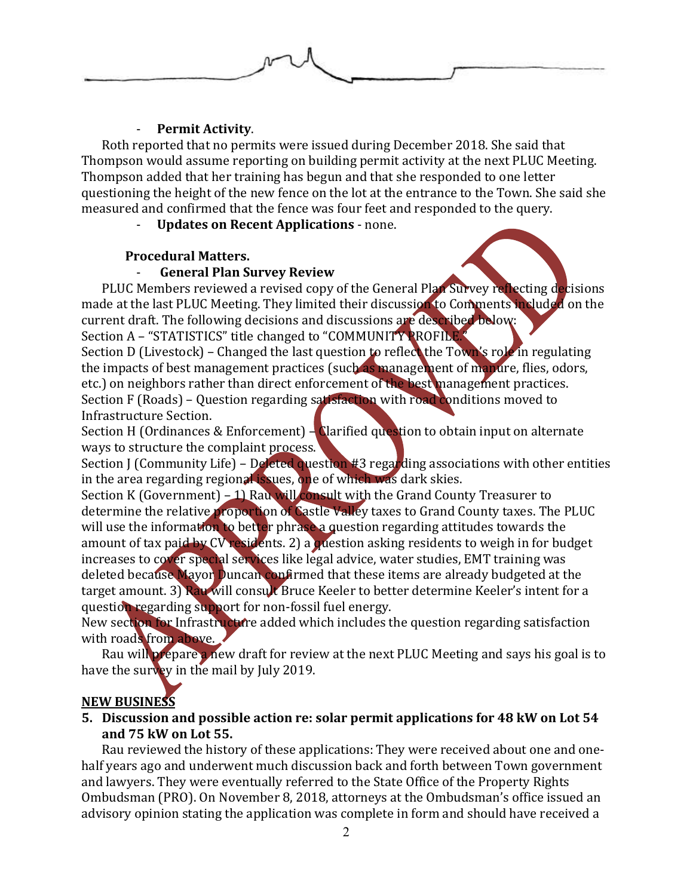

#### - **Permit Activity**.

Roth reported that no permits were issued during December 2018. She said that Thompson would assume reporting on building permit activity at the next PLUC Meeting. Thompson added that her training has begun and that she responded to one letter questioning the height of the new fence on the lot at the entrance to the Town. She said she measured and confirmed that the fence was four feet and responded to the query.

- **Updates on Recent Applications** - none.

#### **Procedural Matters.**

#### - **General Plan Survey Review**

PLUC Members reviewed a revised copy of the General Plan Survey reflecting decisions made at the last PLUC Meeting. They limited their discussion to Comments included on the current draft. The following decisions and discussions are described below: Section A – "STATISTICS" title changed to "COMMUNITY PROFILE.

Section D (Livestock) – Changed the last question to reflect the Town's role in regulating the impacts of best management practices (such as management of manure, flies, odors, etc.) on neighbors rather than direct enforcement of the best management practices. Section F (Roads) - Question regarding satisfaction with road conditions moved to

Infrastructure Section.

Section H (Ordinances & Enforcement)  $-\frac{1}{2}$  Clarified question to obtain input on alternate ways to structure the complaint process.

Section J (Community Life) – Deleted question #3 regarding associations with other entities in the area regarding regional issues, one of which was dark skies.

Section K (Government) – 1) Rau will consult with the Grand County Treasurer to determine the relative proportion of Castle Valley taxes to Grand County taxes. The PLUC will use the information to better phrase a question regarding attitudes towards the amount of tax paid by CV residents. 2) a question asking residents to weigh in for budget increases to cover special services like legal advice, water studies, EMT training was deleted because Mayor Duncan confirmed that these items are already budgeted at the target amount. 3) Rau will consult Bruce Keeler to better determine Keeler's intent for a question regarding support for non-fossil fuel energy.

New section for Infrastructure added which includes the question regarding satisfaction with roads from above.

Rau will prepare a new draft for review at the next PLUC Meeting and says his goal is to have the survey in the mail by July 2019.

### **NEW BUSINESS**

### **5. Discussion and possible action re: solar permit applications for 48 kW on Lot 54 and 75 kW on Lot 55.**

Rau reviewed the history of these applications: They were received about one and onehalf years ago and underwent much discussion back and forth between Town government and lawyers. They were eventually referred to the State Office of the Property Rights Ombudsman (PRO). On November 8, 2018, attorneys at the Ombudsman's office issued an advisory opinion stating the application was complete in form and should have received a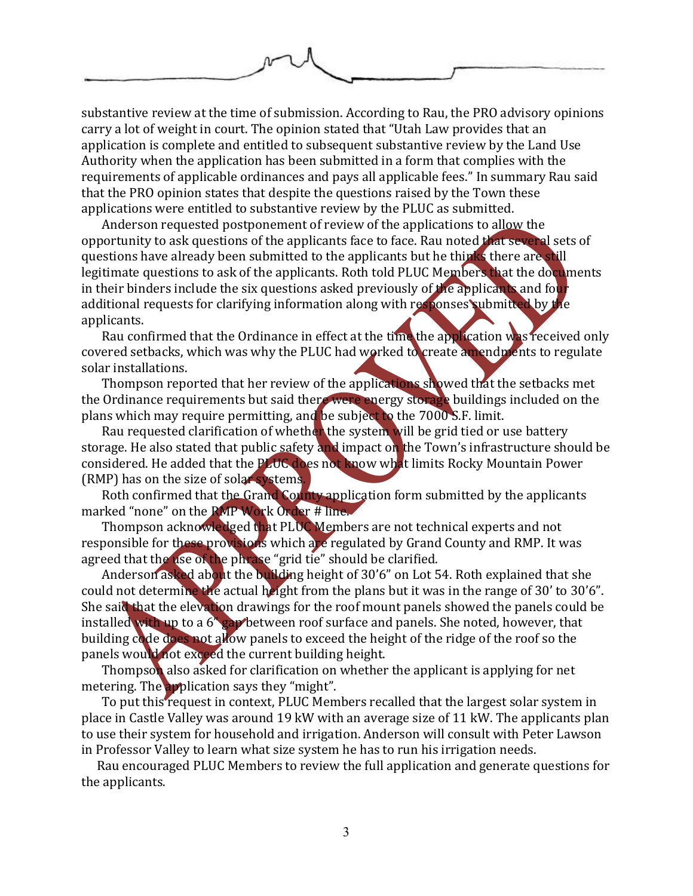

substantive review at the time of submission. According to Rau, the PRO advisory opinions carry a lot of weight in court. The opinion stated that "Utah Law provides that an application is complete and entitled to subsequent substantive review by the Land Use Authority when the application has been submitted in a form that complies with the requirements of applicable ordinances and pays all applicable fees." In summary Rau said that the PRO opinion states that despite the questions raised by the Town these applications were entitled to substantive review by the PLUC as submitted.

Anderson requested postponement of review of the applications to allow the opportunity to ask questions of the applicants face to face. Rau noted that several sets of questions have already been submitted to the applicants but he thinks there are still legitimate questions to ask of the applicants. Roth told PLUC Members that the documents in their binders include the six questions asked previously of the applicants and four additional requests for clarifying information along with responses submitted by the applicants.

Rau confirmed that the Ordinance in effect at the time the application was received only covered setbacks, which was why the PLUC had worked to create amendments to regulate solar installations.

Thompson reported that her review of the applications showed that the setbacks met the Ordinance requirements but said there were energy storage buildings included on the plans which may require permitting, and be subject to the 7000 S.F. limit.

Rau requested clarification of whether the system will be grid tied or use battery storage. He also stated that public safety and impact on the Town's infrastructure should be considered. He added that the PLUC does not know what limits Rocky Mountain Power (RMP) has on the size of solar systems.

Roth confirmed that the Grand County application form submitted by the applicants marked "none" on the RMP Work Order # line.

Thompson acknowledged that PLUC Members are not technical experts and not responsible for these provisions which are regulated by Grand County and RMP. It was agreed that the use of the phrase "grid tie" should be clarified.

Anderson asked about the building height of 30'6" on Lot 54. Roth explained that she could not determine the actual height from the plans but it was in the range of 30' to 30'6". She said that the elevation drawings for the roof mount panels showed the panels could be installed with up to a 6<sup>"</sup> gap between roof surface and panels. She noted, however, that building code does not allow panels to exceed the height of the ridge of the roof so the panels would not exceed the current building height.

Thompson also asked for clarification on whether the applicant is applying for net metering. The application says they "might".

To put this request in context, PLUC Members recalled that the largest solar system in place in Castle Valley was around 19 kW with an average size of 11 kW. The applicants plan to use their system for household and irrigation. Anderson will consult with Peter Lawson in Professor Valley to learn what size system he has to run his irrigation needs.

Rau encouraged PLUC Members to review the full application and generate questions for the applicants.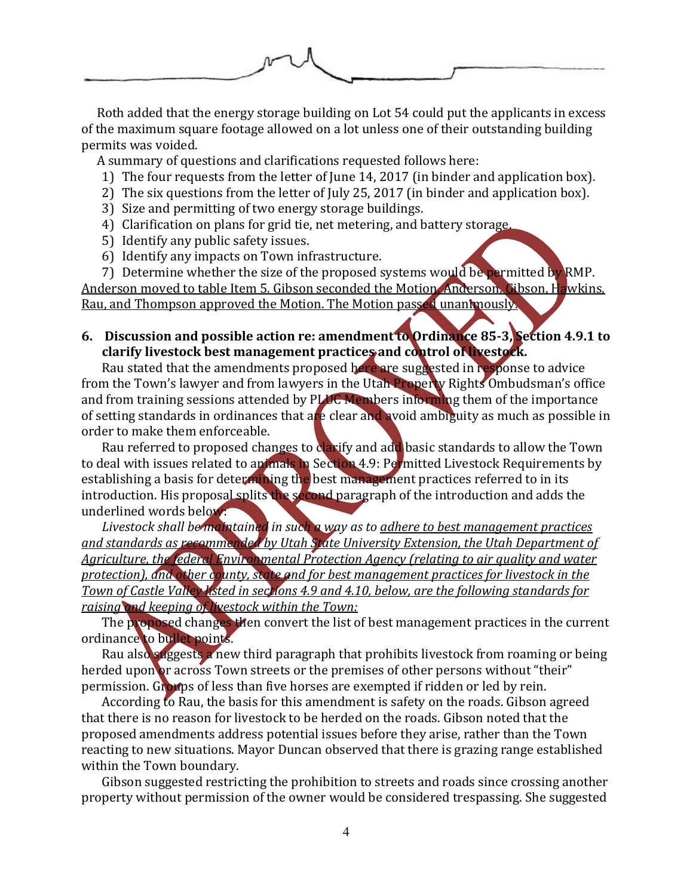

Roth added that the energy storage building on Lot 54 could put the applicants in excess of the maximum square footage allowed on a lot unless one of their outstanding building permits was voided.

A summary of questions and clarifications requested follows here:

- 1) The four requests from the letter of June 14, 2017 (in binder and application box).
- 2) The six questions from the letter of July 25, 2017 (in binder and application box).
- 3) Size and permitting of two energy storage buildings.
- 4) Clarification on plans for grid tie, net metering, and battery storage.
- 5) Identify any public safety issues.
- 6) Identify any impacts on Town infrastructure.

7) Determine whether the size of the proposed systems would be permitted by RMP. Anderson moved to table Item 5. Gibson seconded the Motion. Anderson, Gibson, Hawkins, Rau, and Thompson approved the Motion. The Motion passed unanimously.

**6. Discussion and possible action re: amendment to Ordinance 85-3, Section 4.9.1 to clarify livestock best management practices and control of livestock.**

Rau stated that the amendments proposed here are suggested in response to advice from the Town's lawyer and from lawyers in the Utah Property Rights Ombudsman's office and from training sessions attended by PLUC Members informing them of the importance of setting standards in ordinances that are clear and avoid ambiguity as much as possible in order to make them enforceable.

Rau referred to proposed changes to clarify and add basic standards to allow the Town to deal with issues related to animals in Section 4.9: Permitted Livestock Requirements by establishing a basis for determining the best management practices referred to in its introduction. His proposal splits the second paragraph of the introduction and adds the underlined words below:

*Livestock shall be maintained in such a way as to adhere to best management practices and standards as recommended by Utah State University Extension, the Utah Department of Agriculture, the federal Environmental Protection Agency (relating to air quality and water protection), and other county, state and for best management practices for livestock in the Town of Castle Valley listed in sections 4.9 and 4.10, below, are the following standards for raising and keeping of livestock within the Town:*

The proposed changes then convert the list of best management practices in the current ordinance to bullet points.

Rau also suggests a new third paragraph that prohibits livestock from roaming or being herded upon or across Town streets or the premises of other persons without "their" permission. Groups of less than five horses are exempted if ridden or led by rein.

According to Rau, the basis for this amendment is safety on the roads. Gibson agreed that there is no reason for livestock to be herded on the roads. Gibson noted that the proposed amendments address potential issues before they arise, rather than the Town reacting to new situations. Mayor Duncan observed that there is grazing range established within the Town boundary.

Gibson suggested restricting the prohibition to streets and roads since crossing another property without permission of the owner would be considered trespassing. She suggested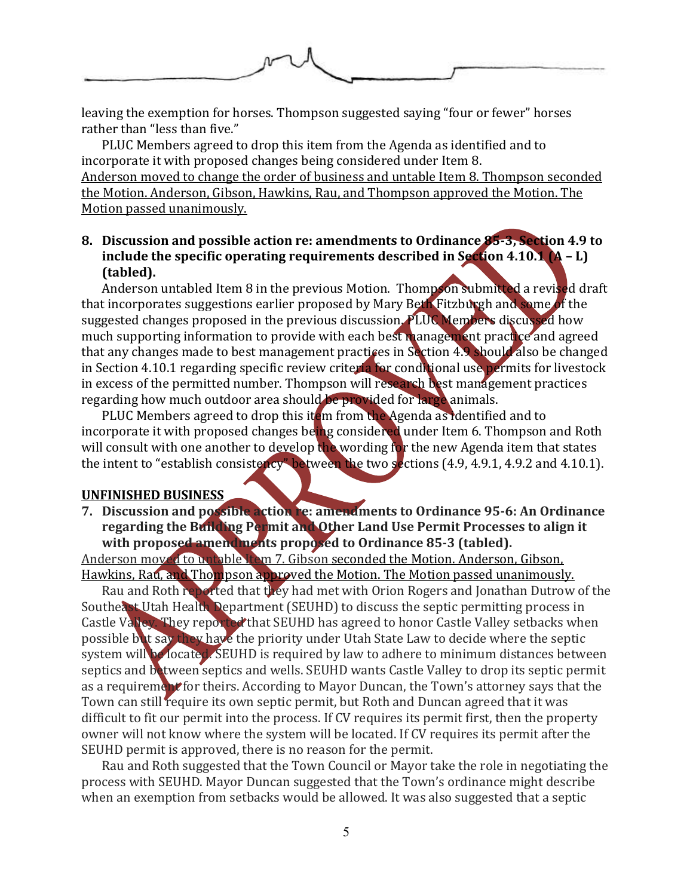

leaving the exemption for horses. Thompson suggested saying "four or fewer" horses rather than "less than five."

PLUC Members agreed to drop this item from the Agenda as identified and to incorporate it with proposed changes being considered under Item 8.

Anderson moved to change the order of business and untable Item 8. Thompson seconded the Motion. Anderson, Gibson, Hawkins, Rau, and Thompson approved the Motion. The Motion passed unanimously.

### **8. Discussion and possible action re: amendments to Ordinance 85-3, Section 4.9 to include the specific operating requirements described in Section 4.10.1 (A – L) (tabled).**

Anderson untabled Item 8 in the previous Motion. Thompson submitted a revised draft that incorporates suggestions earlier proposed by Mary Beth Fitzburgh and some of the suggested changes proposed in the previous discussion. PLUC Members discussed how much supporting information to provide with each best management practice and agreed that any changes made to best management practices in Section 4.9 should also be changed in Section 4.10.1 regarding specific review criteria for conditional use permits for livestock in excess of the permitted number. Thompson will research best management practices regarding how much outdoor area should be provided for large animals.

PLUC Members agreed to drop this item from the Agenda as identified and to incorporate it with proposed changes being considered under Item 6. Thompson and Roth will consult with one another to develop the wording for the new Agenda item that states the intent to "establish consistency" between the two sections (4.9, 4.9.1, 4.9.2 and 4.10.1).

#### **UNFINISHED BUSINESS**

**7. Discussion and possible action re: amendments to Ordinance 95-6: An Ordinance regarding the Building Permit and Other Land Use Permit Processes to align it with proposed amendments proposed to Ordinance 85-3 (tabled).**

Anderson moved to untable Item 7. Gibson seconded the Motion. Anderson, Gibson, Hawkins, Rau, and Thompson approved the Motion. The Motion passed unanimously.

Rau and Roth reported that they had met with Orion Rogers and Jonathan Dutrow of the Southeast Utah Health Department (SEUHD) to discuss the septic permitting process in Castle Valley. They reported that SEUHD has agreed to honor Castle Valley setbacks when possible but say they have the priority under Utah State Law to decide where the septic system will be located. SEUHD is required by law to adhere to minimum distances between septics and between septics and wells. SEUHD wants Castle Valley to drop its septic permit as a requirement for theirs. According to Mayor Duncan, the Town's attorney says that the Town can still require its own septic permit, but Roth and Duncan agreed that it was difficult to fit our permit into the process. If CV requires its permit first, then the property owner will not know where the system will be located. If CV requires its permit after the SEUHD permit is approved, there is no reason for the permit.

Rau and Roth suggested that the Town Council or Mayor take the role in negotiating the process with SEUHD. Mayor Duncan suggested that the Town's ordinance might describe when an exemption from setbacks would be allowed. It was also suggested that a septic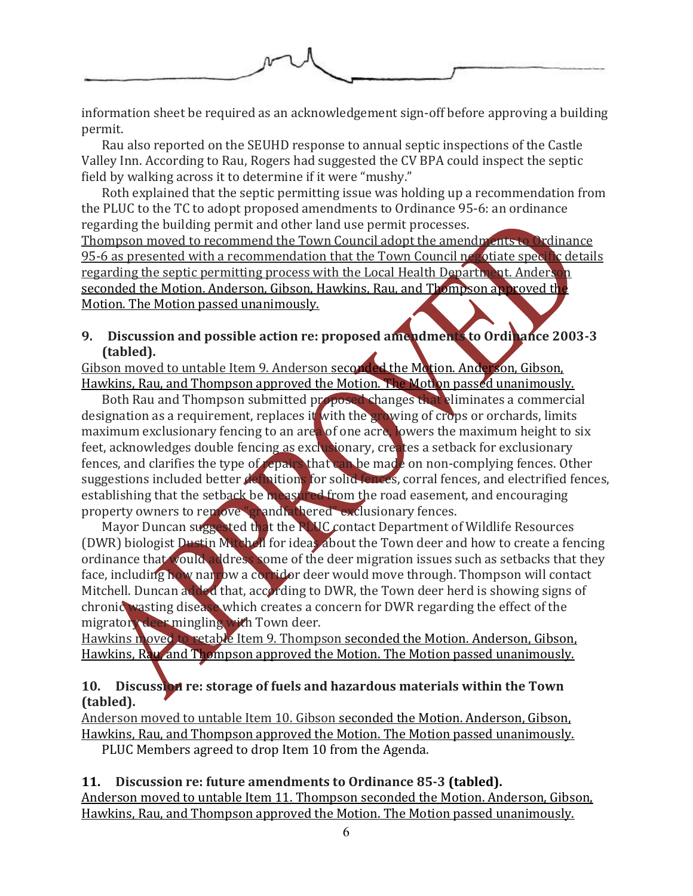

information sheet be required as an acknowledgement sign-off before approving a building permit.

Rau also reported on the SEUHD response to annual septic inspections of the Castle Valley Inn. According to Rau, Rogers had suggested the CV BPA could inspect the septic field by walking across it to determine if it were "mushy."

Roth explained that the septic permitting issue was holding up a recommendation from the PLUC to the TC to adopt proposed amendments to Ordinance 95-6: an ordinance regarding the building permit and other land use permit processes.

Thompson moved to recommend the Town Council adopt the amendments to Ordinance 95-6 as presented with a recommendation that the Town Council negotiate specific details regarding the septic permitting process with the Local Health Department. Anderson seconded the Motion. Anderson, Gibson, Hawkins, Rau, and Thompson approved the Motion. The Motion passed unanimously.

# **9. Discussion and possible action re: proposed amendments to Ordinance 2003-3 (tabled).**

Gibson moved to untable Item 9. Anderson seconded the Motion. Anderson, Gibson, Hawkins, Rau, and Thompson approved the Motion. The Motion passed unanimously.

Both Rau and Thompson submitted proposed changes that eliminates a commercial designation as a requirement, replaces it with the growing of crops or orchards, limits maximum exclusionary fencing to an area of one acre, lowers the maximum height to six feet, acknowledges double fencing as exclusionary, creates a setback for exclusionary fences, and clarifies the type of repairs that can be made on non-complying fences. Other suggestions included better definitions for solid-fences, corral fences, and electrified fences, establishing that the setback be measured from the road easement, and encouraging property owners to remove "grandfathered" exclusionary fences.

Mayor Duncan suggested that the PLUC contact Department of Wildlife Resources (DWR) biologist Dustin Mitchell for ideas about the Town deer and how to create a fencing ordinance that would address some of the deer migration issues such as setbacks that they face, including how narrow a corridor deer would move through. Thompson will contact Mitchell. Duncan added that, according to DWR, the Town deer herd is showing signs of chronic wasting disease which creates a concern for DWR regarding the effect of the migratory deer mingling with Town deer.

Hawkins moved to retable Item 9. Thompson seconded the Motion. Anderson, Gibson, Hawkins, Rau, and Thompson approved the Motion. The Motion passed unanimously.

### **10. Discussion re: storage of fuels and hazardous materials within the Town (tabled).**

Anderson moved to untable Item 10. Gibson seconded the Motion. Anderson, Gibson, Hawkins, Rau, and Thompson approved the Motion. The Motion passed unanimously. PLUC Members agreed to drop Item 10 from the Agenda.

### **11. Discussion re: future amendments to Ordinance 85-3 (tabled).** Anderson moved to untable Item 11. Thompson seconded the Motion. Anderson, Gibson,

Hawkins, Rau, and Thompson approved the Motion. The Motion passed unanimously.